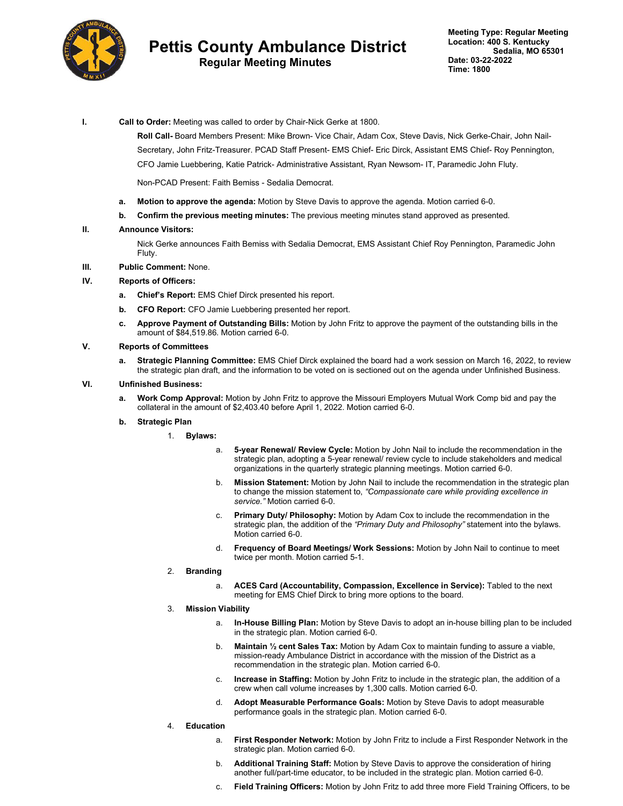

# **Pettis County Ambulance District**

## **Regular Meeting Minutes**

**I. Call to Order:** Meeting was called to order by Chair-Nick Gerke at 1800.

**Roll Call-** Board Members Present: Mike Brown- Vice Chair, Adam Cox, Steve Davis, Nick Gerke-Chair, John Nail-Secretary, John Fritz-Treasurer. PCAD Staff Present- EMS Chief- Eric Dirck, Assistant EMS Chief- Roy Pennington, CFO Jamie Luebbering, Katie Patrick- Administrative Assistant, Ryan Newsom- IT, Paramedic John Fluty.

Non-PCAD Present: Faith Bemiss - Sedalia Democrat.

- **a. Motion to approve the agenda:** Motion by Steve Davis to approve the agenda. Motion carried 6-0.
- **b. Confirm the previous meeting minutes:** The previous meeting minutes stand approved as presented.

#### **II. Announce Visitors:**

Nick Gerke announces Faith Bemiss with Sedalia Democrat, EMS Assistant Chief Roy Pennington, Paramedic John Fluty.

**III. Public Comment:** None.

#### **IV. Reports of Officers:**

- **a. Chief's Report:** EMS Chief Dirck presented his report.
- **b. CFO Report:** CFO Jamie Luebbering presented her report.
- **c. Approve Payment of Outstanding Bills:** Motion by John Fritz to approve the payment of the outstanding bills in the amount of \$84,519.86. Motion carried 6-0.

#### **V. Reports of Committees**

**a. Strategic Planning Committee:** EMS Chief Dirck explained the board had a work session on March 16, 2022, to review the strategic plan draft, and the information to be voted on is sectioned out on the agenda under Unfinished Business.

#### **VI. Unfinished Business:**

- **a. Work Comp Approval:** Motion by John Fritz to approve the Missouri Employers Mutual Work Comp bid and pay the collateral in the amount of \$2,403.40 before April 1, 2022. Motion carried 6-0.
- **b. Strategic Plan**
	- 1. **Bylaws:**
		- a. **5-year Renewal/ Review Cycle:** Motion by John Nail to include the recommendation in the strategic plan, adopting a 5-year renewal/ review cycle to include stakeholders and medical organizations in the quarterly strategic planning meetings. Motion carried 6-0.
		- b. **Mission Statement:** Motion by John Nail to include the recommendation in the strategic plan to change the mission statement to, *"Compassionate care while providing excellence in service."* Motion carried 6-0.
		- c. **Primary Duty/ Philosophy:** Motion by Adam Cox to include the recommendation in the strategic plan, the addition of the *"Primary Duty and Philosophy"* statement into the bylaws. Motion carried 6-0.
		- d. **Frequency of Board Meetings/ Work Sessions:** Motion by John Nail to continue to meet twice per month. Motion carried 5-1.
	- 2. **Branding**
		- a. **ACES Card (Accountability, Compassion, Excellence in Service):** Tabled to the next meeting for EMS Chief Dirck to bring more options to the board.

#### 3. **Mission Viability**

- a. **In-House Billing Plan:** Motion by Steve Davis to adopt an in-house billing plan to be included in the strategic plan. Motion carried 6-0.
- b. **Maintain ½ cent Sales Tax:** Motion by Adam Cox to maintain funding to assure a viable, mission-ready Ambulance District in accordance with the mission of the District as a recommendation in the strategic plan. Motion carried 6-0.
- c. **Increase in Staffing:** Motion by John Fritz to include in the strategic plan, the addition of a crew when call volume increases by 1,300 calls. Motion carried 6-0.
- d. **Adopt Measurable Performance Goals:** Motion by Steve Davis to adopt measurable performance goals in the strategic plan. Motion carried 6-0.
- 4. **Education**
	- a. **First Responder Network:** Motion by John Fritz to include a First Responder Network in the strategic plan. Motion carried 6-0.
	- b. **Additional Training Staff:** Motion by Steve Davis to approve the consideration of hiring another full/part-time educator, to be included in the strategic plan. Motion carried 6-0.
	- c. **Field Training Officers:** Motion by John Fritz to add three more Field Training Officers, to be